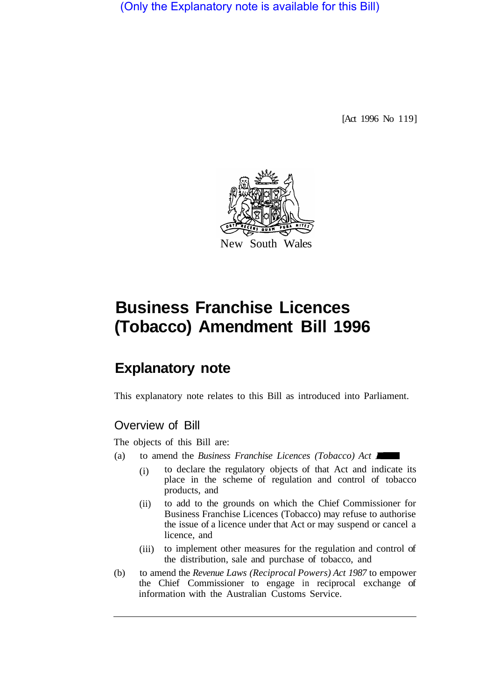(Only the Explanatory note is available for this Bill)

[Act 1996 No 119]



# **Business Franchise Licences (Tobacco) Amendment Bill 1996**

# **Explanatory note**

This explanatory note relates to this Bill as introduced into Parliament.

# Overview of Bill

The objects of this Bill are:

- (a) to amend the *Business Franchise Licences (Tobacco) Act*  $\blacksquare$ 
	- (i) to declare the regulatory objects of that Act and indicate its place in the scheme of regulation and control of tobacco products, and
	- (ii) to add to the grounds on which the Chief Commissioner for Business Franchise Licences (Tobacco) may refuse to authorise the issue of a licence under that Act or may suspend or cancel a licence, and
	- (iii) to implement other measures for the regulation and control of the distribution, sale and purchase of tobacco, and
- (b) to amend the *Revenue Laws (Reciprocal Powers) Act 1987* to empower the Chief Commissioner to engage in reciprocal exchange of information with the Australian Customs Service.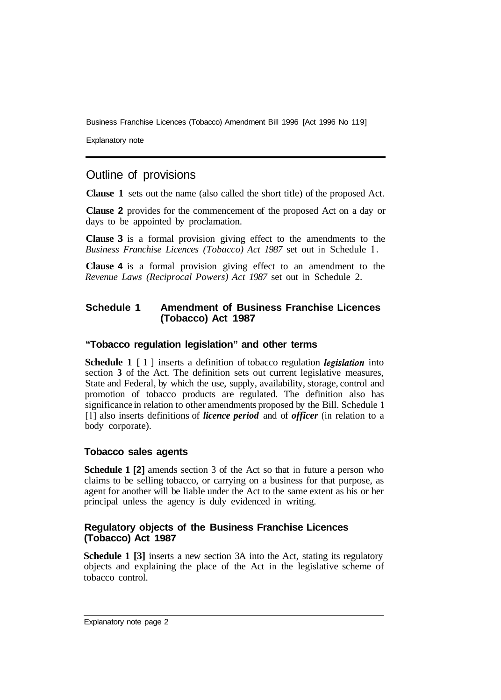Business Franchise Licences (Tobacco) Amendment Bill 1996 [Act 1996 No 11 9]

Explanatory note

# Outline of provisions

**Clause 1** sets out the name (also called the short title) of the proposed Act.

**Clause 2** provides for the commencement of the proposed Act on a day or days to be appointed by proclamation.

**Clause 3** is a formal provision giving effect to the amendments to the *Business Franchise Licences (Tobacco) Act 1987* set out in Schedule l.

**Clause 4** is a formal provision giving effect to an amendment to the *Revenue Laws (Reciprocal Powers) Act 1987* set out in Schedule 2.

#### **Schedule 1 Amendment of Business Franchise Licences (Tobacco) Act 1987**

#### **"Tobacco regulation legislation" and other terms**

**Schedule 1** [1] inserts a definition of tobacco regulation *legislation* into section **3** of the Act. The definition sets out current legislative measures, State and Federal, by which the use, supply, availability, storage, control and promotion of tobacco products are regulated. The definition also has significance in relation to other amendments proposed by the Bill. Schedule 1 [l] also inserts definitions of *licence period* and of *officer* (in relation to a body corporate).

#### **Tobacco sales agents**

**Schedule 1 [2]** amends section 3 of the Act so that in future a person who claims to be selling tobacco, or carrying on a business for that purpose, as agent for another will be liable under the Act to the same extent as his or her principal unless the agency is duly evidenced in writing.

#### **Regulatory objects of the Business Franchise Licences (Tobacco) Act 1987**

**Schedule 1 [3]** inserts a new section 3A into the Act, stating its regulatory objects and explaining the place of the Act in the legislative scheme of tobacco control.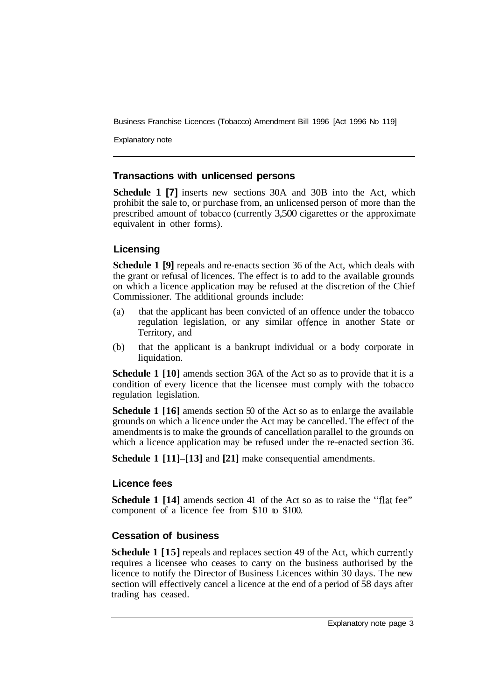Business Franchise Licences (Tobacco) Amendment Bill 1996 [Act 1996 No 119]

Explanatory note

#### **Transactions with unlicensed persons**

**Schedule 1 [7]** inserts new sections 30A and 30B into the Act, which prohibit the sale to, or purchase from, an unlicensed person of more than the prescribed amount of tobacco (currently 3,500 cigarettes or the approximate equivalent in other forms).

# **Licensing**

**Schedule 1 [9]** repeals and re-enacts section 36 of the Act, which deals with the grant or refusal of licences. The effect is to add to the available grounds on which a licence application may be refused at the discretion of the Chief Commissioner. The additional grounds include:

- (a) that the applicant has been convicted of an offence under the tobacco regulation legislation, or any similar offence in another State or Territory, and
- (b) that the applicant is a bankrupt individual or a body corporate in liquidation.

**Schedule 1 [10]** amends section 36A of the Act so as to provide that it is a condition of every licence that the licensee must comply with the tobacco regulation legislation.

**Schedule 1 [16]** amends section 50 of the Act so as to enlarge the available grounds on which a licence under the Act may be cancelled. The effect of the amendments is to make the grounds of cancellation parallel to the grounds on which a licence application may be refused under the re-enacted section 36.

**Schedule 1 [11]–[13]** and **[21]** make consequential amendments.

# **Licence fees**

**Schedule 1 [14]** amends section 41 of the Act so as to raise the "flat fee" component of a licence fee from \$10 to \$100.

# **Cessation of business**

**Schedule 1 [15]** repeals and replaces section 49 of the Act, which currently requires a licensee who ceases to carry on the business authorised by the licence to notify the Director of Business Licences within 30 days. The new section will effectively cancel a licence at the end of a period of 58 days after trading has ceased.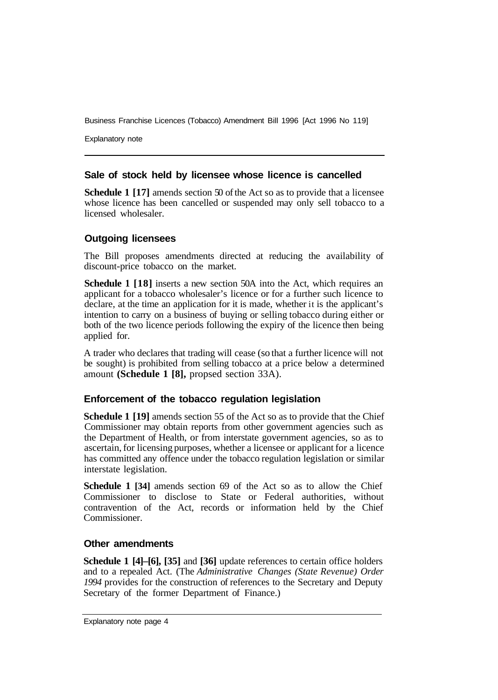Business Franchise Licences (Tobacco) Amendment Bill 1996 [Act 1996 No 119]

Explanatory note

#### **Sale of stock held by licensee whose licence is cancelled**

**Schedule 1 [17]** amends section 50 of the Act so as to provide that a licensee whose licence has been cancelled or suspended may only sell tobacco to a licensed wholesaler.

# **Outgoing licensees**

The Bill proposes amendments directed at reducing the availability of discount-price tobacco on the market.

**Schedule 1 [18]** inserts a new section 50A into the Act, which requires an applicant for a tobacco wholesaler's licence or for a further such licence to declare, at the time an application for it is made, whether it is the applicant's intention to carry on a business of buying or selling tobacco during either or both of the two licence periods following the expiry of the licence then being applied for.

A trader who declares that trading will cease (so that a further licence will not be sought) is prohibited from selling tobacco at a price below a determined amount **(Schedule 1 [8],** propsed section 33A).

# **Enforcement of the tobacco regulation legislation**

**Schedule 1 [19]** amends section 55 of the Act so as to provide that the Chief Commissioner may obtain reports from other government agencies such as the Department of Health, or from interstate government agencies, so as to ascertain, for licensing purposes, whether a licensee or applicant for a licence has committed any offence under the tobacco regulation legislation or similar interstate legislation.

**Schedule 1 [34]** amends section 69 of the Act so as to allow the Chief Commissioner to disclose to State or Federal authorities, without contravention of the Act, records or information held by the Chief Commissioner.

#### **Other amendments**

**Schedule 1 [4]–[6], [35]** and **[36]** update references to certain office holders and to a repealed Act. (The *Administrative Changes (State Revenue) Order 1994* provides for the construction of references to the Secretary and Deputy Secretary of the former Department of Finance.)